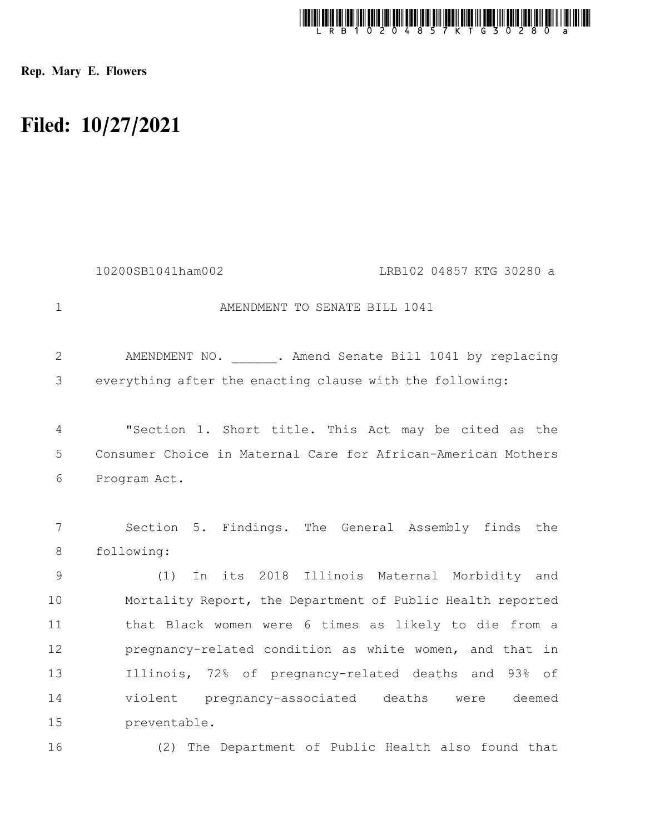

Rep. Mary E. Flowers

## Filed: 10/27/2021

|                | LRB102 04857 KTG 30280 a<br>10200SB1041ham002                     |
|----------------|-------------------------------------------------------------------|
| $\mathbf{1}$   | AMENDMENT TO SENATE BILL 1041                                     |
| 2              | AMENDMENT NO. . Amend Senate Bill 1041 by replacing               |
| 3              | everything after the enacting clause with the following:          |
| $\overline{4}$ | "Section 1. Short title. This Act may be cited as the             |
| 5              | Consumer Choice in Maternal Care for African-American Mothers     |
| 6              | Program Act.                                                      |
| 7<br>8         | Section 5. Findings. The General Assembly finds the<br>following: |
| 9              | In its 2018 Illinois Maternal Morbidity and<br>(1)                |
| 10             | Mortality Report, the Department of Public Health reported        |
| 11             | that Black women were 6 times as likely to die from a             |
| 12             | pregnancy-related condition as white women, and that in           |
| 13             | Illinois, 72% of pregnancy-related deaths and 93% of              |
| 14             | violent pregnancy-associated deaths were deemed                   |
| 15             | preventable.                                                      |
| 16             | (2) The Department of Public Health also found that               |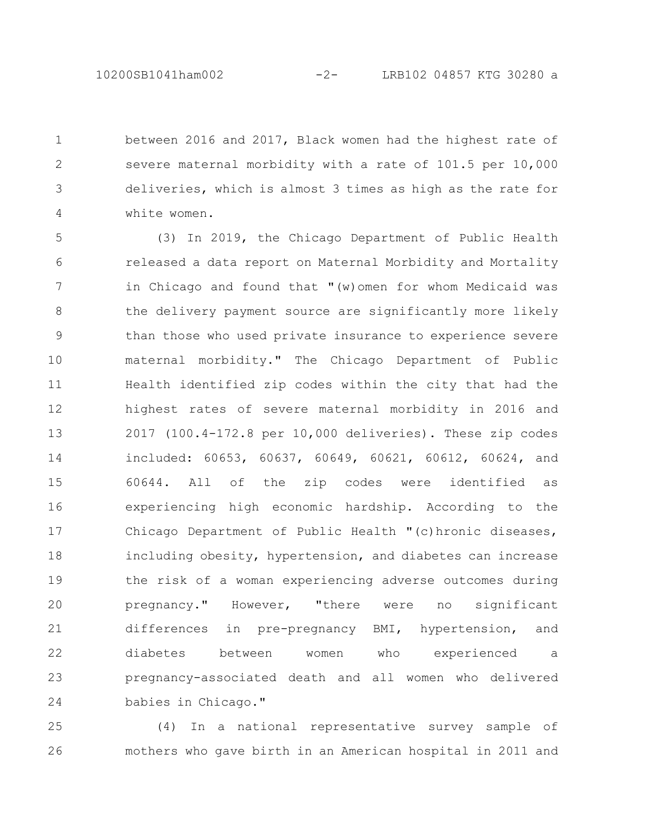between 2016 and 2017, Black women had the highest rate of severe maternal morbidity with a rate of 101.5 per 10,000 deliveries, which is almost 3 times as high as the rate for white women. 1 2 3 4

(3) In 2019, the Chicago Department of Public Health released a data report on Maternal Morbidity and Mortality in Chicago and found that "(w)omen for whom Medicaid was the delivery payment source are significantly more likely than those who used private insurance to experience severe maternal morbidity." The Chicago Department of Public Health identified zip codes within the city that had the highest rates of severe maternal morbidity in 2016 and 2017 (100.4-172.8 per 10,000 deliveries). These zip codes included: 60653, 60637, 60649, 60621, 60612, 60624, and 60644. All of the zip codes were identified as experiencing high economic hardship. According to the Chicago Department of Public Health "(c)hronic diseases, including obesity, hypertension, and diabetes can increase the risk of a woman experiencing adverse outcomes during pregnancy." However, "there were no significant differences in pre-pregnancy BMI, hypertension, and diabetes between women who experienced a pregnancy-associated death and all women who delivered babies in Chicago." 5 6 7 8 9 10 11 12 13 14 15 16 17 18 19 20 21 22 23 24

(4) In a national representative survey sample of mothers who gave birth in an American hospital in 2011 and 25 26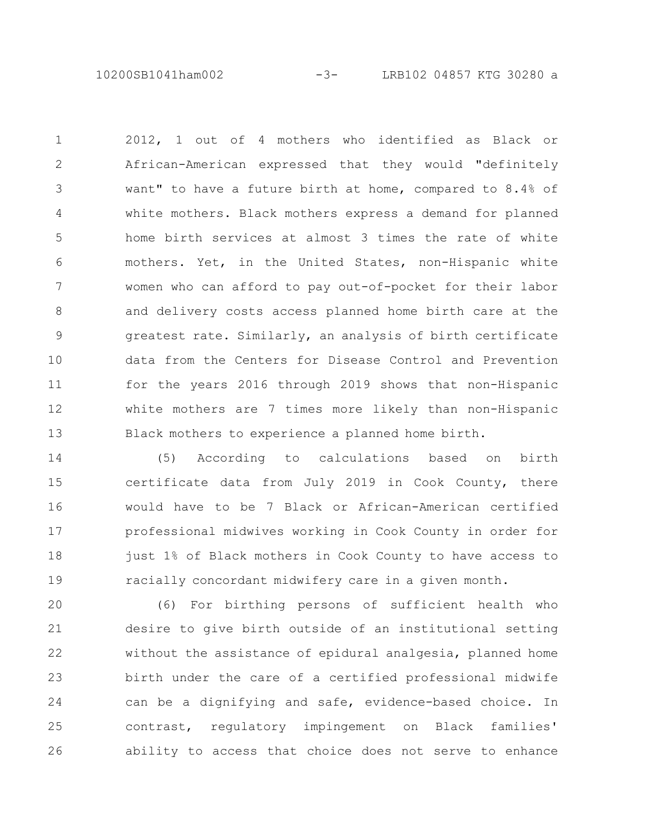10200SB1041ham002 -3- LRB102 04857 KTG 30280 a

2012, 1 out of 4 mothers who identified as Black or African-American expressed that they would "definitely want" to have a future birth at home, compared to 8.4% of white mothers. Black mothers express a demand for planned home birth services at almost 3 times the rate of white mothers. Yet, in the United States, non-Hispanic white women who can afford to pay out-of-pocket for their labor and delivery costs access planned home birth care at the greatest rate. Similarly, an analysis of birth certificate data from the Centers for Disease Control and Prevention for the years 2016 through 2019 shows that non-Hispanic white mothers are 7 times more likely than non-Hispanic Black mothers to experience a planned home birth. 1 2 3 4 5 6 7 8 9 10 11 12 13

(5) According to calculations based on birth certificate data from July 2019 in Cook County, there would have to be 7 Black or African-American certified professional midwives working in Cook County in order for just 1% of Black mothers in Cook County to have access to racially concordant midwifery care in a given month. 14 15 16 17 18 19

(6) For birthing persons of sufficient health who desire to give birth outside of an institutional setting without the assistance of epidural analgesia, planned home birth under the care of a certified professional midwife can be a dignifying and safe, evidence-based choice. In contrast, regulatory impingement on Black families' ability to access that choice does not serve to enhance 20 21 22 23 24 25 26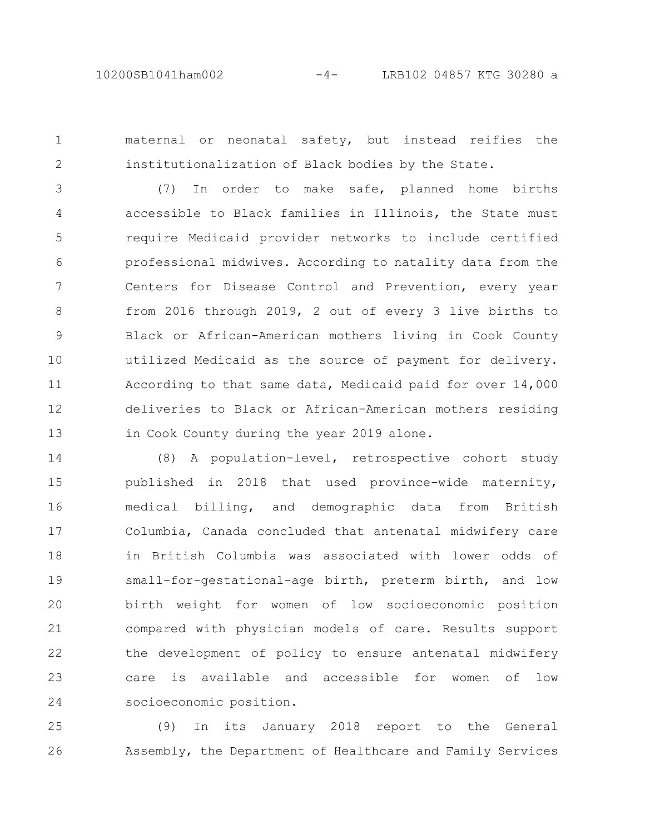1

2

maternal or neonatal safety, but instead reifies the institutionalization of Black bodies by the State.

(7) In order to make safe, planned home births accessible to Black families in Illinois, the State must require Medicaid provider networks to include certified professional midwives. According to natality data from the Centers for Disease Control and Prevention, every year from 2016 through 2019, 2 out of every 3 live births to Black or African-American mothers living in Cook County utilized Medicaid as the source of payment for delivery. According to that same data, Medicaid paid for over 14,000 deliveries to Black or African-American mothers residing in Cook County during the year 2019 alone. 3 4 5 6 7 8 9 10 11 12 13

(8) A population-level, retrospective cohort study published in 2018 that used province-wide maternity, medical billing, and demographic data from British Columbia, Canada concluded that antenatal midwifery care in British Columbia was associated with lower odds of small-for-gestational-age birth, preterm birth, and low birth weight for women of low socioeconomic position compared with physician models of care. Results support the development of policy to ensure antenatal midwifery care is available and accessible for women of low socioeconomic position. 14 15 16 17 18 19 20 21 22 23 24

(9) In its January 2018 report to the General Assembly, the Department of Healthcare and Family Services 25 26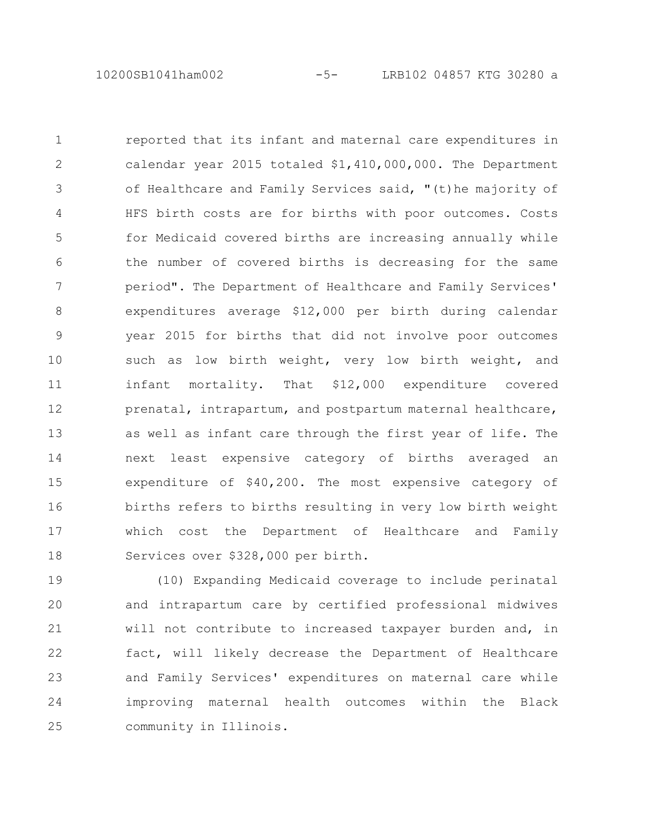reported that its infant and maternal care expenditures in calendar year 2015 totaled \$1,410,000,000. The Department of Healthcare and Family Services said, "(t)he majority of HFS birth costs are for births with poor outcomes. Costs for Medicaid covered births are increasing annually while the number of covered births is decreasing for the same period". The Department of Healthcare and Family Services' expenditures average \$12,000 per birth during calendar year 2015 for births that did not involve poor outcomes such as low birth weight, very low birth weight, and infant mortality. That \$12,000 expenditure covered prenatal, intrapartum, and postpartum maternal healthcare, as well as infant care through the first year of life. The next least expensive category of births averaged an expenditure of \$40,200. The most expensive category of births refers to births resulting in very low birth weight which cost the Department of Healthcare and Family Services over \$328,000 per birth. 1 2 3 4 5 6 7 8 9 10 11 12 13 14 15 16 17 18

(10) Expanding Medicaid coverage to include perinatal and intrapartum care by certified professional midwives will not contribute to increased taxpayer burden and, in fact, will likely decrease the Department of Healthcare and Family Services' expenditures on maternal care while improving maternal health outcomes within the Black community in Illinois. 19 20 21 22 23 24 25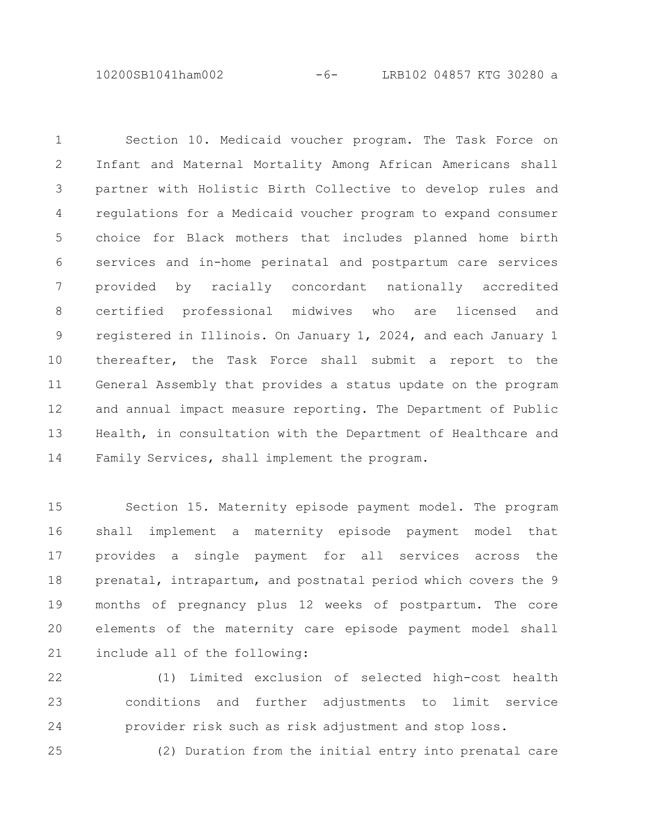10200SB1041ham002 -6- LRB102 04857 KTG 30280 a

Section 10. Medicaid voucher program. The Task Force on Infant and Maternal Mortality Among African Americans shall partner with Holistic Birth Collective to develop rules and regulations for a Medicaid voucher program to expand consumer choice for Black mothers that includes planned home birth services and in-home perinatal and postpartum care services provided by racially concordant nationally accredited certified professional midwives who are licensed and registered in Illinois. On January 1, 2024, and each January 1 thereafter, the Task Force shall submit a report to the General Assembly that provides a status update on the program and annual impact measure reporting. The Department of Public Health, in consultation with the Department of Healthcare and Family Services, shall implement the program. 1 2 3 4 5 6 7 8 9 10 11 12 13 14

Section 15. Maternity episode payment model. The program shall implement a maternity episode payment model that provides a single payment for all services across the prenatal, intrapartum, and postnatal period which covers the 9 months of pregnancy plus 12 weeks of postpartum. The core elements of the maternity care episode payment model shall include all of the following: 15 16 17 18 19 20 21

(1) Limited exclusion of selected high-cost health conditions and further adjustments to limit service provider risk such as risk adjustment and stop loss. 22 23 24

(2) Duration from the initial entry into prenatal care 25